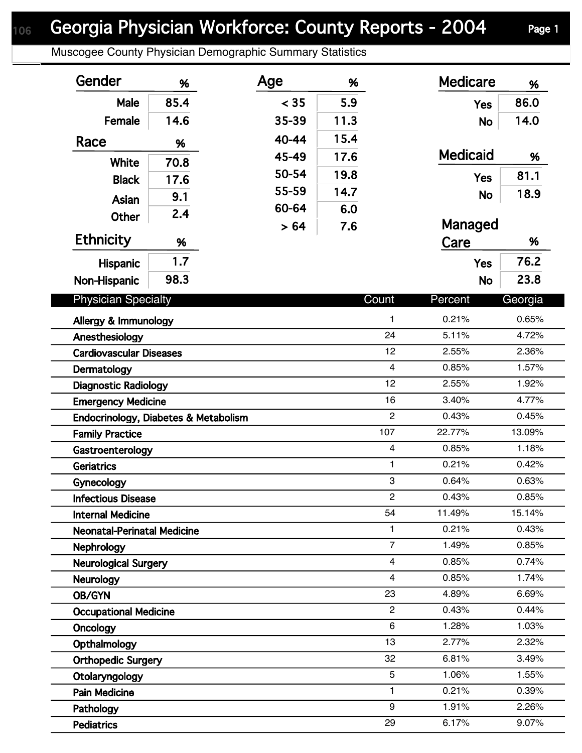## Georgia Physician Workforce: County Reports - 2004 Page 1

Muscogee County Physician Demographic Summary Statistics

| Gender                               | %    | Age   | %    |                         | <b>Medicare</b> | %       |
|--------------------------------------|------|-------|------|-------------------------|-----------------|---------|
| Male                                 | 85.4 | < 35  | 5.9  |                         | <b>Yes</b>      | 86.0    |
| Female                               | 14.6 | 35-39 | 11.3 |                         | <b>No</b>       | 14.0    |
| Race                                 |      | 40-44 | 15.4 |                         |                 |         |
|                                      | %    | 45-49 | 17.6 |                         | <b>Medicaid</b> | %       |
| White                                | 70.8 | 50-54 | 19.8 |                         |                 | 81.1    |
| <b>Black</b>                         | 17.6 | 55-59 | 14.7 |                         | <b>Yes</b>      |         |
| Asian                                | 9.1  | 60-64 | 6.0  |                         | <b>No</b>       | 18.9    |
| <b>Other</b>                         | 2.4  |       | 7.6  |                         | Managed         |         |
| <b>Ethnicity</b>                     | %    | > 64  |      |                         | Care            | %       |
| Hispanic                             | 1.7  |       |      |                         | <b>Yes</b>      | 76.2    |
| Non-Hispanic                         | 98.3 |       |      |                         | <b>No</b>       | 23.8    |
|                                      |      |       |      | Count                   |                 |         |
| <b>Physician Specialty</b>           |      |       |      |                         | Percent         | Georgia |
| Allergy & Immunology                 |      |       |      | 1                       | 0.21%           | 0.65%   |
| Anesthesiology                       |      |       |      | 24                      | 5.11%           | 4.72%   |
| <b>Cardiovascular Diseases</b>       |      |       |      | 12                      | 2.55%           | 2.36%   |
| Dermatology                          |      |       |      | $\overline{4}$          | 0.85%           | 1.57%   |
| <b>Diagnostic Radiology</b>          |      |       |      | 12                      | 2.55%           | 1.92%   |
| <b>Emergency Medicine</b>            |      |       |      | 16                      | 3.40%           | 4.77%   |
| Endocrinology, Diabetes & Metabolism |      |       |      | $\overline{2}$          | 0.43%           | 0.45%   |
| <b>Family Practice</b>               |      |       |      | 107                     | 22.77%          | 13.09%  |
| Gastroenterology                     |      |       |      | $\overline{4}$          | 0.85%           | 1.18%   |
| <b>Geriatrics</b>                    |      |       |      | 1                       | 0.21%           | 0.42%   |
| Gynecology                           |      |       |      | 3                       | 0.64%           | 0.63%   |
| <b>Infectious Disease</b>            |      |       |      | $\mathcal{P}$           | 0.43%           | 0.85%   |
| <b>Internal Medicine</b>             |      |       |      | 54                      | 11.49%          | 15.14%  |
| <b>Neonatal-Perinatal Medicine</b>   |      |       |      | 1                       | 0.21%           | 0.43%   |
| <b>Nephrology</b>                    |      |       |      | $\overline{7}$          | 1.49%           | 0.85%   |
| <b>Neurological Surgery</b>          |      |       |      | $\overline{\mathbf{4}}$ | 0.85%           | 0.74%   |
| <b>Neurology</b>                     |      |       |      | $\overline{4}$          | 0.85%           | 1.74%   |
| OB/GYN                               |      |       |      | 23                      | 4.89%           | 6.69%   |
| <b>Occupational Medicine</b>         |      |       |      | $\overline{2}$          | 0.43%           | 0.44%   |
| Oncology                             |      |       |      | $6\phantom{1}$          | 1.28%           | 1.03%   |
| Opthalmology                         |      |       |      | 13                      | 2.77%           | 2.32%   |
| <b>Orthopedic Surgery</b>            |      |       |      | 32                      | 6.81%           | 3.49%   |
| Otolaryngology                       |      |       |      | 5                       | 1.06%           | 1.55%   |
| <b>Pain Medicine</b>                 |      |       |      | 1                       | 0.21%           | 0.39%   |
| Pathology                            |      |       |      | 9                       | 1.91%           | 2.26%   |
| <b>Pediatrics</b>                    |      |       |      | 29                      | 6.17%           | 9.07%   |